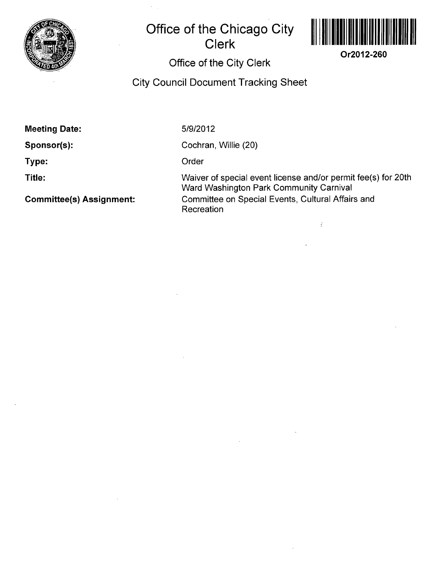

## **Office of the Chicago City Clerk**



**Or2012-260** 

## **Office of the City Clerk**

**City Council Document Tracking Sheet** 

**Meeting Date:** 

**Sponsor(s):** 

**Type:** 

**Title:** 

**Committee(s) Assignment:** 

5/9/2012

Cochran, Willie (20)

**Order** 

Waiver of special event license and/or permit fee(s) for 20th Ward Washington Park Community Carnival Committee on Special Events, Cultural Affairs and Recreation

Ý.